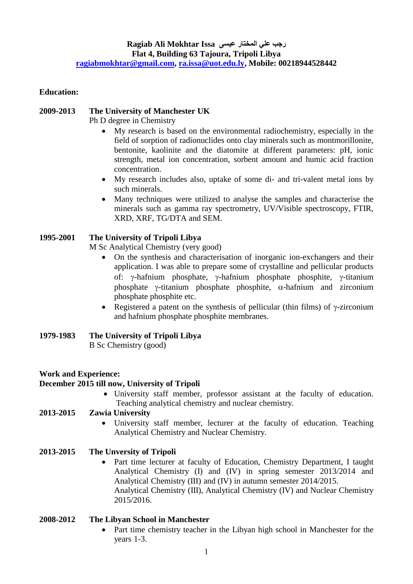## **Education:**

# **2009-2013 The University of Manchester UK**

Ph D degree in Chemistry

- My research is based on the environmental radiochemistry, especially in the field of sorption of radionuclides onto clay minerals such as montmorillonite, bentonite, kaolinite and the diatomite at different parameters: pH, ionic strength, metal ion concentration, sorbent amount and humic acid fraction concentration.
- My research includes also, uptake of some di- and tri-valent metal ions by such minerals.
- Many techniques were utilized to analyse the samples and characterise the minerals such as gamma ray spectrometry, UV/Visible spectroscopy, FTIR, XRD, XRF, TG/DTA and SEM.

## **1995-2001 The University of Tripoli Libya**

M Sc Analytical Chemistry (very good)

- On the synthesis and characterisation of inorganic ion-exchangers and their application. I was able to prepare some of crystalline and pellicular products of:  $\gamma$ -hafnium phosphate,  $\gamma$ -hafnium phosphate phosphite,  $\gamma$ -titanium phosphate  $\gamma$ -titanium phosphate phosphite,  $\alpha$ -hafnium and zirconium phosphate phosphite etc.
- Registered a patent on the synthesis of pellicular (thin films) of  $\gamma$ -zirconium and hafnium phosphate phosphite membranes.

## **1979-1983 The University of Tripoli Libya**

B Sc Chemistry (good)

## **Work and Experience:**

#### **December 2015 till now, University of Tripoli**

 University staff member, professor assistant at the faculty of education. Teaching analytical chemistry and nuclear chemistry.

#### **2013-2015 Zawia University**

 University staff member, lecturer at the faculty of education. Teaching Analytical Chemistry and Nuclear Chemistry.

## **2013-2015 The Unversity of Tripoli**

• Part time lecturer at faculty of Education, Chemistry Department, I taught Analytical Chemistry (I) and (IV) in spring semester 2013/2014 and Analytical Chemistry (III) and (IV) in autumn semester 2014/2015. Analytical Chemistry (III), Analytical Chemistry (IV) and Nuclear Chemistry 2015/2016.

## **2008-2012 The Libyan School in Manchester**

 Part time chemistry teacher in the Libyan high school in Manchester for the years 1-3.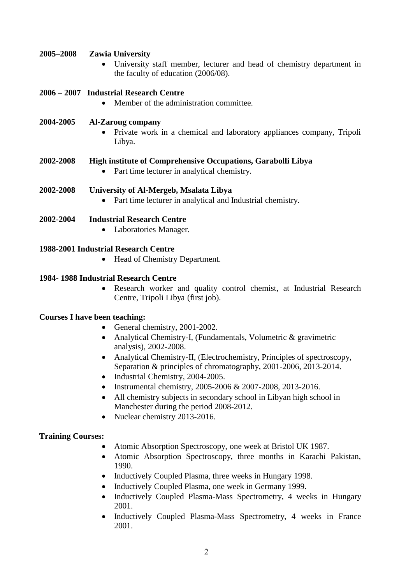## **2005–2008 Zawia University**

 University staff member, lecturer and head of chemistry department in the faculty of education (2006/08).

## **2006 – 2007 Industrial Research Centre**

• Member of the administration committee.

#### **2004-2005 Al-Zaroug company**

 Private work in a chemical and laboratory appliances company, Tripoli Libya.

#### **2002-2008 High institute of Comprehensive Occupations, Garabolli Libya**

Part time lecturer in analytical chemistry.

## **2002-2008 University of Al-Mergeb, Msalata Libya**

• Part time lecturer in analytical and Industrial chemistry.

#### **2002-2004 Industrial Research Centre**

Laboratories Manager.

## **1988-2001 Industrial Research Centre**

• Head of Chemistry Department.

#### **1984- 1988 Industrial Research Centre**

 Research worker and quality control chemist, at Industrial Research Centre, Tripoli Libya (first job).

#### **Courses I have been teaching:**

- General chemistry, 2001-2002.
- Analytical Chemistry-I, (Fundamentals, Volumetric & gravimetric analysis), 2002-2008.
- Analytical Chemistry-II, (Electrochemistry, Principles of spectroscopy, Separation & principles of chromatography, 2001-2006, 2013-2014.
- Industrial Chemistry, 2004-2005.
- Instrumental chemistry,  $2005-2006 \& 2007-2008$ ,  $2013-2016$ .
- All chemistry subjects in secondary school in Libyan high school in Manchester during the period 2008-2012.
- Nuclear chemistry 2013-2016.

#### **Training Courses:**

- Atomic Absorption Spectroscopy, one week at Bristol UK 1987.
- Atomic Absorption Spectroscopy, three months in Karachi Pakistan, 1990.
- Inductively Coupled Plasma, three weeks in Hungary 1998.
- Inductively Coupled Plasma, one week in Germany 1999.
- Inductively Coupled Plasma-Mass Spectrometry, 4 weeks in Hungary 2001.
- Inductively Coupled Plasma-Mass Spectrometry, 4 weeks in France 2001.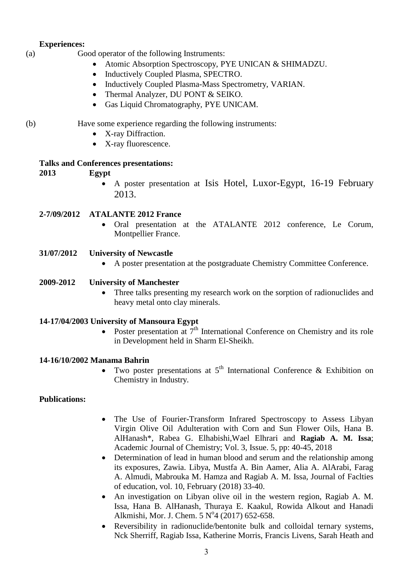## **Experiences:**

- (a) Good operator of the following Instruments:
	- Atomic Absorption Spectroscopy, PYE UNICAN & SHIMADZU.
	- Inductively Coupled Plasma, SPECTRO.
	- Inductively Coupled Plasma-Mass Spectrometry, VARIAN.
	- Thermal Analyzer, DU PONT & SEIKO.
	- Gas Liquid Chromatography, PYE UNICAM.

- (b) Have some experience regarding the following instruments:
	- X-ray Diffraction.
	- X-ray fluorescence.

## **Talks and Conferences presentations:**

# **2013 Egypt**

 A poster presentation at Isis Hotel, Luxor-Egypt, 16-19 February 2013.

# **2-7/09/2012 ATALANTE 2012 France**

 Oral presentation at the ATALANTE 2012 conference, Le Corum, Montpellier France.

## **31/07/2012 University of Newcastle**

A poster presentation at the postgraduate Chemistry Committee Conference.

## **2009-2012 University of Manchester**

• Three talks presenting my research work on the sorption of radionuclides and heavy metal onto clay minerals.

## **14-17/04/2003 University of Mansoura Egypt**

• Poster presentation at  $7<sup>th</sup>$  International Conference on Chemistry and its role in Development held in Sharm El-Sheikh.

## **14-16/10/2002 Manama Bahrin**

• Two poster presentations at  $5<sup>th</sup>$  International Conference & Exhibition on Chemistry in Industry.

# **Publications:**

- The Use of Fourier-Transform Infrared Spectroscopy to Assess Libyan Virgin Olive Oil Adulteration with Corn and Sun Flower Oils, Hana B. AlHanash\*, Rabea G. Elhabishi,Wael Elhrari and **Ragiab A. M. Issa**; Academic Journal of Chemistry; Vol. 3, Issue. 5, pp: 40-45, 2018
- Determination of lead in human blood and serum and the relationship among its exposures, Zawia. Libya, Mustfa A. Bin Aamer, Alia A. AlArabi, Farag A. Almudi, Mabrouka M. Hamza and Ragiab A. M. Issa, Journal of Faclties of education, vol. 10, February (2018) 33-40.
- An investigation on Libyan olive oil in the western region, Ragiab A. M. Issa, Hana B. AlHanash, Thuraya E. Kaakul, Rowida Alkout and Hanadi Alkmishi, Mor. J. Chem. 5 Nº4 (2017) 652-658.
- Reversibility in radionuclide/bentonite bulk and colloidal ternary systems, Nck Sherriff, Ragiab Issa, Katherine Morris, Francis Livens, Sarah Heath and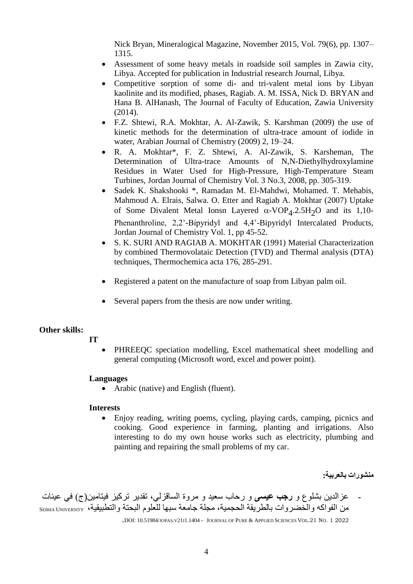Nick Bryan, Mineralogical Magazine, November 2015, Vol. 79(6), pp. 1307– 1315.

- Assessment of some heavy metals in roadside soil samples in Zawia city, Libya. Accepted for publication in Industrial research Journal, Libya.
- Competitive sorption of some di- and tri-valent metal ions by Libyan kaolinite and its modified, phases, Ragiab. A. M. ISSA, Nick D. BRYAN and Hana B. AlHanash, The Journal of Faculty of Education, Zawia University (2014).
- F.Z. Shtewi, R.A. Mokhtar, A. Al-Zawik, S. Karshman (2009) the use of kinetic methods for the determination of ultra-trace amount of iodide in water, Arabian Journal of Chemistry (2009) 2, 19–24.
- R. A. Mokhtar\*, F. Z. Shtewi, A. Al-Zawik, S. Karsheman, The Determination of Ultra-trace Amounts of N,N-Diethylhydroxylamine Residues in Water Used for High-Pressure, High-Temperature Steam Turbines, Jordan Journal of Chemistry Vol. 3 No.3, 2008, pp. 305-319.
- Sadek K. Shakshooki \*, Ramadan M. El-Mahdwi, Mohamed. T. Mehabis, Mahmoud A. Elrais, Salwa. O. Etter and Ragiab A. Mokhtar (2007) Uptake of Some Divalent Metal Ionsn Layered  $\alpha$ -VOP<sub>4</sub>.2.5H<sub>2</sub>O and its 1,10-Phenanthroline, 2,2'-Bipyridyl and 4,4'-Bipyridyl Intercalated Products, Jordan Journal of Chemistry Vol. 1, pp 45-52.
- S. K. SURI AND RAGIAB A. MOKHTAR (1991) Material Characterization by combined Thermovolataic Detection (TVD) and Thermal analysis (DTA) techniques, Thermochemica acta 176, 285-291.
- Registered a patent on the manufacture of soap from Libyan palm oil.
- Several papers from the thesis are now under writing.

#### **Other skills:**

- **IT**
- PHREEQC speciation modelling, Excel mathematical sheet modelling and general computing (Microsoft word, excel and power point).

#### **Languages**

Arabic (native) and English (fluent).

#### **Interests**

 Enjoy reading, writing poems, cycling, playing cards, camping, picnics and cooking. Good experience in farming, planting and irrigations. Also interesting to do my own house works such as electricity, plumbing and painting and repairing the small problems of my car.

**منشورات بالعربية:**

- عزالدين بشلوع و **رجب عيسى** و رحاب سعيد و مروة الساقزلي، تقدير تركيز فيتامين(ج( في عينات من الفواكه والخضر وات بالطريقة الحجمية، مجلة جامعة سبها للعلوم البحتة والتطبيقية، SEBHA UNIVERSITY

.DOI: 10.51984/JOPAS.V21I1.1404 - <sup>J</sup>OURNAL OF PURE & APPLIED SCIENCES VOL.21 NO. 1 2022